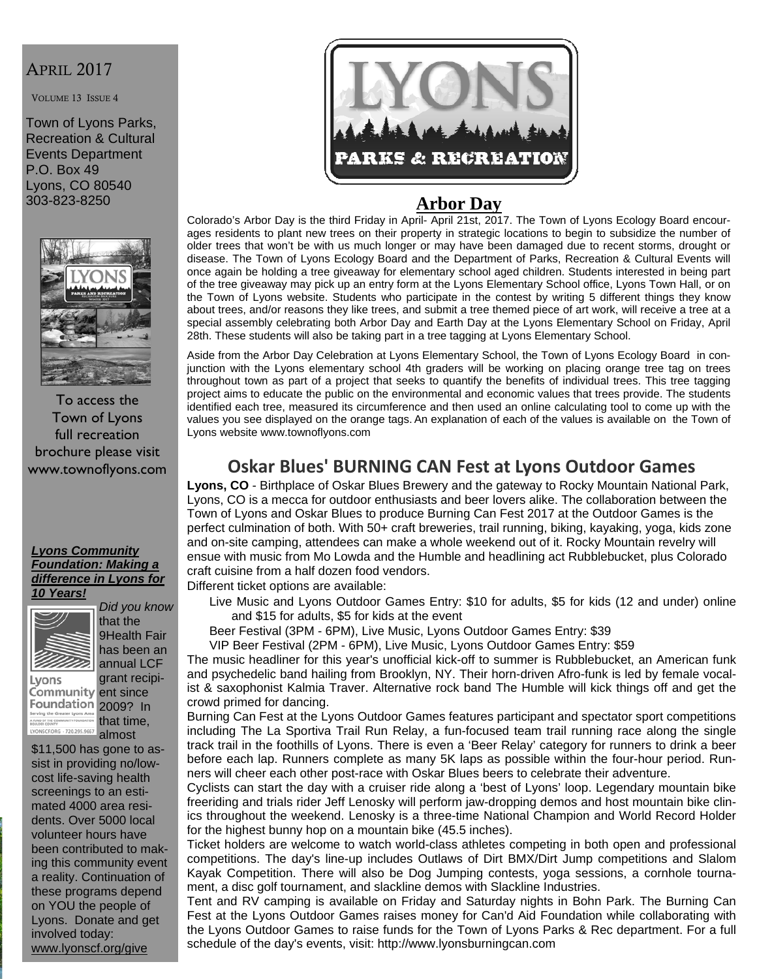## APRIL 2017

VOLUME 13 ISSUE 4

Town of Lyons Parks, Recreation & Cultural Events Department P.O. Box 49 Lyons, CO 80540 303-823-8250



To access the Town of Lyons full recreation brochure please visit www.townoflyons.com

#### *Lyons Community Foundation: Making a difference in Lyons for 10 Years!*



*Did you know* that the 9Health Fair annual LCF

Lyons Community ent since Foundation 2009? In A FUND OF THE COMMUNI LYONSCF.ORG - 720.295.9667

has been an grant recipithat time,

almost \$11,500 has gone to assist in providing no/lowcost life-saving health screenings to an estimated 4000 area residents. Over 5000 local volunteer hours have been contributed to making this community event a reality. Continuation of these programs depend on YOU the people of Lyons. Donate and get involved today: www.lyonscf.org/give



#### **Arbor Day**

Colorado's Arbor Day is the third Friday in April- April 21st, 2017. The Town of Lyons Ecology Board encourages residents to plant new trees on their property in strategic locations to begin to subsidize the number of older trees that won't be with us much longer or may have been damaged due to recent storms, drought or disease. The Town of Lyons Ecology Board and the Department of Parks, Recreation & Cultural Events will once again be holding a tree giveaway for elementary school aged children. Students interested in being part of the tree giveaway may pick up an entry form at the Lyons Elementary School office, Lyons Town Hall, or on the Town of Lyons website. Students who participate in the contest by writing 5 different things they know about trees, and/or reasons they like trees, and submit a tree themed piece of art work, will receive a tree at a special assembly celebrating both Arbor Day and Earth Day at the Lyons Elementary School on Friday, April 28th. These students will also be taking part in a tree tagging at Lyons Elementary School.

Aside from the Arbor Day Celebration at Lyons Elementary School, the Town of Lyons Ecology Board in conjunction with the Lyons elementary school 4th graders will be working on placing orange tree tag on trees throughout town as part of a project that seeks to quantify the benefits of individual trees. This tree tagging project aims to educate the public on the environmental and economic values that trees provide. The students identified each tree, measured its circumference and then used an online calculating tool to come up with the values you see displayed on the orange tags.An explanation of each of the values is available on the Town of Lyons website www.townoflyons.com

# **Oskar Blues' BURNING CAN Fest at Lyons Outdoor Games**

**Lyons, CO** - Birthplace of Oskar Blues Brewery and the gateway to Rocky Mountain National Park, Lyons, CO is a mecca for outdoor enthusiasts and beer lovers alike. The collaboration between the Town of Lyons and Oskar Blues to produce Burning Can Fest 2017 at the Outdoor Games is the perfect culmination of both. With 50+ craft breweries, trail running, biking, kayaking, yoga, kids zone and on-site camping, attendees can make a whole weekend out of it. Rocky Mountain revelry will ensue with music from Mo Lowda and the Humble and headlining act Rubblebucket, plus Colorado craft cuisine from a half dozen food vendors.

Different ticket options are available:

- Live Music and Lyons Outdoor Games Entry: \$10 for adults, \$5 for kids (12 and under) online and \$15 for adults, \$5 for kids at the event
- Beer Festival (3PM 6PM), Live Music, Lyons Outdoor Games Entry: \$39

VIP Beer Festival (2PM - 6PM), Live Music, Lyons Outdoor Games Entry: \$59

The music headliner for this year's unofficial kick-off to summer is Rubblebucket, an American funk and psychedelic band hailing from Brooklyn, NY. Their horn-driven Afro-funk is led by female vocalist & saxophonist Kalmia Traver. Alternative rock band The Humble will kick things off and get the crowd primed for dancing.

Burning Can Fest at the Lyons Outdoor Games features participant and spectator sport competitions including The La Sportiva Trail Run Relay, a fun-focused team trail running race along the single track trail in the foothills of Lyons. There is even a 'Beer Relay' category for runners to drink a beer before each lap. Runners complete as many 5K laps as possible within the four-hour period. Runners will cheer each other post-race with Oskar Blues beers to celebrate their adventure.

Cyclists can start the day with a cruiser ride along a 'best of Lyons' loop. Legendary mountain bike freeriding and trials rider Jeff Lenosky will perform jaw-dropping demos and host mountain bike clinics throughout the weekend. Lenosky is a three-time National Champion and World Record Holder for the highest bunny hop on a mountain bike (45.5 inches).

Ticket holders are welcome to watch world-class athletes competing in both open and professional competitions. The day's line-up includes Outlaws of Dirt BMX/Dirt Jump competitions and Slalom Kayak Competition. There will also be Dog Jumping contests, yoga sessions, a cornhole tournament, a disc golf tournament, and slackline demos with Slackline Industries.

Tent and RV camping is available on Friday and Saturday nights in Bohn Park. The Burning Can Fest at the Lyons Outdoor Games raises money for Can'd Aid Foundation while collaborating with the Lyons Outdoor Games to raise funds for the Town of Lyons Parks & Rec department. For a full schedule of the day's events, visit: http://www.lyonsburningcan.com